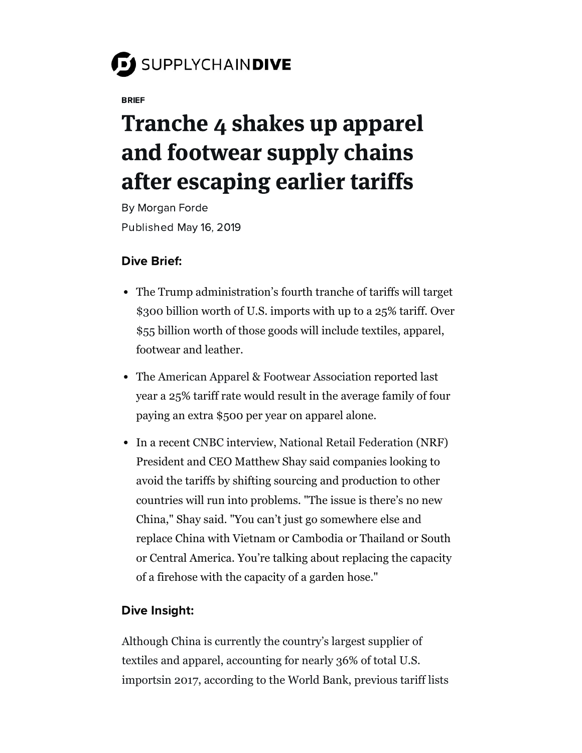## SUPPLYCHAINDIVE

BRIEF

## Tranche 4 shakes up apparel and footwear supply chains after escaping earlier tariffs

By [Morgan](https://www.supplychaindive.com/editors/mforde/) Forde Published May 16, 2019

## Dive Brief:

- The Trump administration's fourth tranche of tariffs will target [\\$300 billion](https://www.supplychaindive.com/news/US-tariffs-300b-proposed-list/554734/) worth of U.S. imports with up to a 25% tariff. Over [\\$55 billion](https://www.census.gov/foreign-trade/statistics/product/enduse/imports/c5700.html) worth of those goods will include textiles, apparel, footwear and leather.
- The [American Apparel & Footwear Association](https://www.aafaglobal.org/AAFA/AAFA_News/2019_Press_Releases/Apparel_and_Footwear_Industry_Condemns_Latest_Tariff_Escalation.aspx) reported last year a 25% tariff rate would result in the average family of four paying an extra \$500 per year on apparel alone.
- In a recent [CNBC](https://www.cnbc.com/video/2019/05/14/heres-how-the-china-trade-war-might-affect-american-retail.html) interview, [National Retail Federation](https://nrf.com/media-center/press-releases/latest-tariff-list-far-too-great-gamble-us-economy-says-nrf) (NRF) President and CEO Matthew Shay said companies looking to avoid the tariffs by shifting sourcing and production to other countries will run into problems. "The issue is there's no new China," Shay said. "You can't just go somewhere else and replace China with Vietnam or Cambodia or Thailand or South or Central America. You're talking about replacing the capacity of a firehose with the capacity of a garden hose."

## Dive Insight:

Although China is currently the country's largest supplier of textiles and apparel, accounting for nearly 36% of total U.S. [importsin 2017, according to the World Bank, previous tari](https://wits.worldbank.org/CountryProfile/en/Country/USA/Year/2017/TradeFlow/Import/Partner/all/Product/50-63_TextCloth)[ff lists](https://ustr.gov/sites/default/files/enforcement/301Investigations/Tariff%20List-09.17.18.pdf)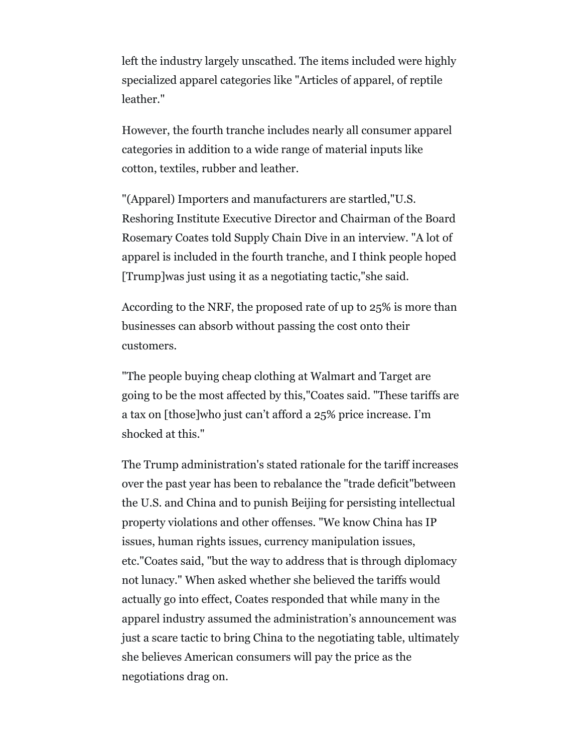left the industry largely unscathed. The items included were highly specialized apparel categories like "Articles of apparel, of reptile leather."

However, the fourth tranche includes nearly all consumer apparel categories in addition to a wide range of material inputs like cotton, textiles, rubber and leather.

"(Apparel) Importers and manufacturers are startled,"U.S. Reshoring Institute Executive Director and Chairman of the Board Rosemary Coates told Supply Chain Dive in an interview. "A lot of apparel is included in the fourth tranche, and I think people hoped [Trump]was just using it as a negotiating tactic,"she said.

According to the NRF, the proposed rate of up to 25% is more than businesses can absorb without passing the cost onto their customers.

"The people buying cheap clothing at Walmart and Target are going to be the most affected by this,"Coates said. "These tariffs are a tax on [those]who just can't afford a 25% price increase. I'm shocked at this."

The Trump administration's stated rationale for the tariff increases over the past year has been to rebalance the "trade deficit"between the U.S. and China and to punish Beijing for persisting intellectual property violations and other offenses. "We know China has IP issues, human rights issues, currency manipulation issues, etc."Coates said, "but the way to address that is through diplomacy not lunacy." When asked whether she believed the tariffs would actually go into effect, Coates responded that while many in the apparel industry assumed the administration's announcement was just a scare tactic to bring China to the negotiating table, ultimately she believes American consumers will pay the price as the negotiations drag on.